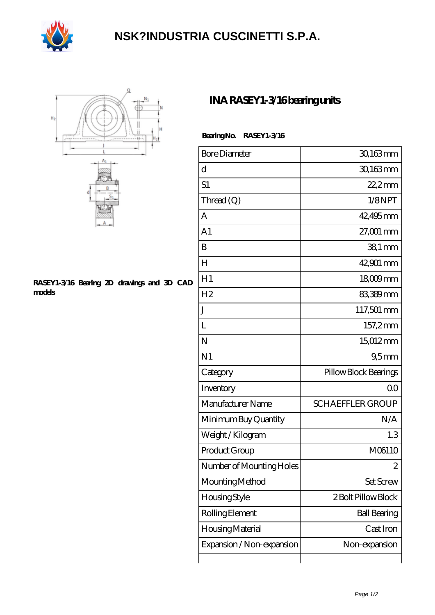

## **[NSK?INDUSTRIA CUSCINETTI S.P.A.](https://droqy.com)**



## **[RASEY1-3/16 Bearing 2D drawings and 3D CAD](https://droqy.com/pic-23859.html) [models](https://droqy.com/pic-23859.html)**

## **[INA RASEY1-3/16 bearing units](https://droqy.com/ai-23859-ina-rasey1-3-16-bearing-units.html)**

 **Bearing No. RASEY1-3/16**

| <b>Bore Diameter</b>      | 30,163mm                |
|---------------------------|-------------------------|
| d                         | 30,163mm                |
| S1                        | $22.2$ mm               |
| Thread $(Q)$              | 1/8NPT                  |
| A                         | 42,495mm                |
| A1                        | $27,001$ mm             |
| B                         | $381$ mm                |
| H                         | 42,901 mm               |
| H1                        | $18009$ mm              |
| H <sub>2</sub>            | 83,389mm                |
| J                         | 117,501 mm              |
| L                         | 157,2mm                 |
| N                         | 15,012mm                |
| N <sub>1</sub>            | 95 <sub>mm</sub>        |
| Category                  | Pillow Block Bearings   |
| Inventory                 | 0 <sup>0</sup>          |
| Manufacturer Name         | <b>SCHAEFFLER GROUP</b> |
| Minimum Buy Quantity      | N/A                     |
| Weight/Kilogram           | 1.3                     |
| Product Group             | M06110                  |
| Number of Mounting Holes  | 2                       |
| Mounting Method           | Set Screw               |
| Housing Style             | 2 Bolt Pillow Block     |
| Rolling Element           | <b>Ball Bearing</b>     |
| Housing Material          | Cast Iron               |
| Expansion / Non-expansion | Non-expansion           |
|                           |                         |